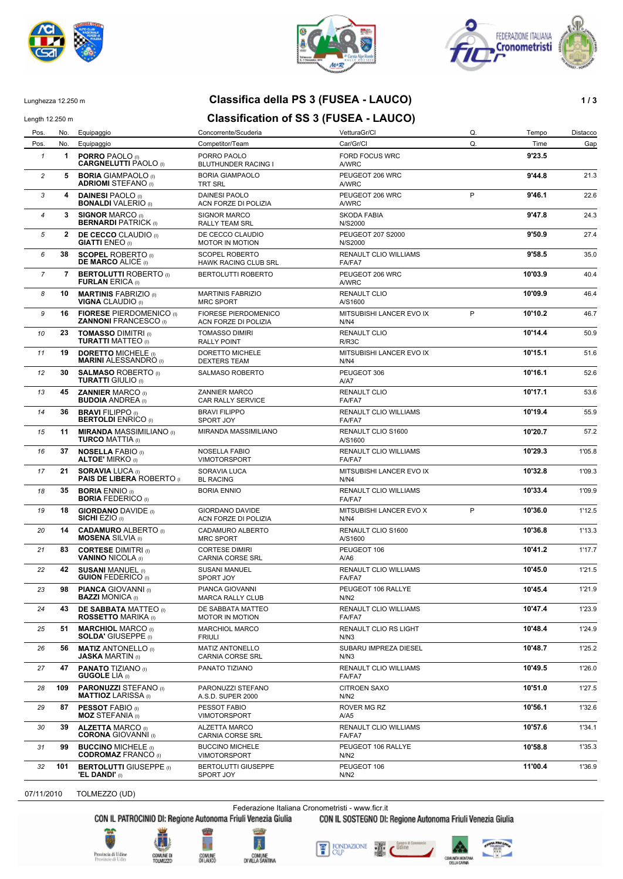





### Lunghezza 12.250 m **Classifica della PS 3 (FUSEA - LAUCO) 1 / 3**

### Length 12.250 m **Classification of SS 3 (FUSEA - LAUCO)**

Pos. No. Equipaggio Concorrente/Scuderia VetturaGr/Cl Q. Tempo Distacco Pos. No. Equipaggio Competitor/Team Car/Gr/Cl Q. Time Gap *1* **1 PORRO** PAOLO (I) PORRO PAOLO FORD FOCUS WRC **9'23.5 CARGNELUTTI** PAOLO (I) **2 5 BORIA** GIAMPAOLO (I) BORIA GIAMPAOLO **PEUGEOT 206 WRC 9'44.8** 9'44.8 21.3 **ADRIOMI** STEFANO (I) *3* **4 DAINESI** PAOLO (I) DAINESI PAOLO PEUGEOT 206 WRC **9'46.1** 22.6 **BONALDI** VALERIO (I) ACN FORZE DI POLIZIA AWRC P *4* **3 SIGNOR** MARCO (I) SIGNOR MARCO SKODA FABIA **9'47.8** 24.3 **BERNARDI** PATRICK (I) RALLY TEAM SRL N/S2000 *5* **2 DE CECCO** CLAUDIO (I) DE CECCO CLAUDIO PEUGEOT 207 S2000 **9'50.9** 27.4 **MOTOR IN MOTION 6 38 SCOPEL** ROBERTO (I) SCOPEL ROBERTO **RENAULT CLIO WILLIAMS 9'58.5 9'58.5** 35.0<br> **DE MARCO** ALICE (I) HAWK RACING CLUB SRL FA/FA7 **HAWK RACING CLUB SRL** *7* **7 BERTOLUTTI** ROBERTO (I) BERTOLUTTI ROBERTO PEUGEOT 206 WRC **10'03.9** 40.4 **FURLAN** ERICA (I) A/WRC *8* **10 MARTINIS** FABRIZIO (I) MARTINIS FABRIZIO RENAULT CLIO **10'09.9** 46.4 **VIGNA** CLAUDIO (I) MRC SPORT AND AVS1600 **9 16 FIORESE** PIERDOMENICO (I) FIORESE PIERDOMENICO MITSUBISHI LANCER EVO IX P **10'10.2** 46.7<br>**ZANNONI** FRANCESCO (I) ACN FORZE DI POLIZIA N/N4 **ZANNONI FRANCESCO (I)**  $\overline{P}$ 10 **23 TOMASSO** DIMITRI (I) TOMASSO DIMIRI RENAULT CLIO **10'14.4** 50.9<br>**IDIRATTI** MATTEO (I) RALLY POINT RING RIRISC **TURATTI MATTEO** (I) 11 **19 DORETTO** MICHELE (I) DORETTO MICHELE **19** MITSUBISHI LANCER EVO IX<br>**MARINI** ALESSANDRO (I) DEXTERS TEAM **III DE ALESSANDRO** (I) DEXTERS TEAM **MARINI** ALESSANDRO (I) DEXTERS TEAM **12 30 SALMASO** ROBERTO (I) SALMASO ROBERTO **PEUGEOT 306 10'16.1 10'16.1** 52.6<br>**TURATTI** GIULIO (I) **TURATTI GIULIO (I) 13 45 ZANNIER** MARCO (I) **10'17.1** 53.6<br>**BUDOIA** ANDREA (I) **CAR RALLY SERVICE 12 TALEA** FAIFAT **10'17.1** 53.6 **CAR RALLY SERVICE 14 36 BRAVI** FILIPPO (I) BRAVI FILIPPO **RENAULT CLIO WILLIAMS 10'19.4** 55.9<br>**BERTOLDI** ENRICO (I) SPORT JOY **FALL BRAVI FOR ALL**ERAT **BERTOLDI** ENRICO (I) *15* **11 MIRANDA** MASSIMILIANO (I) MIRANDA MASSIMILIANO RENAULT CLIO S1600 **10'20.7** 57.2 **TURCO** MATTIA (I) A/S1600 *16* **37 NOSELLA** FABIO (I) NOSELLA FABIO RENAULT CLIO WILLIAMS **10'29.3** 1'05.8 **ALTOE'** MIRKO (I) VIMOTORSPORT FA/FA7 *17* **21 SORAVIA** LUCA (I) SORAVIA LUCA MITSUBISHI LANCER EVO IX **10'32.8** 1'09.3 **PAIS DE LIBERA ROBERTO (I 18 35 BORIA** ENNIO (I) **BORIA ENNIO BORIA ENNIO RENAULT CLIO WILLIAMS 10'33.4 1'09.9 BORIA** FEDERICO (I) **BORIA** FEDERICO (I) **19 18 GIORDANO** DAVIDE (I) GIORDANO DAVIDE MITSUBISHI LANCER EVO X P **10'36.0** 1'12.5<br>**SICHI** EZIO (I) ACN FORZE DI POLIZIA N/N4 **ACN FORZE DI POLIZIA** P *20* **14 CADAMURO** ALBERTO (I) CADAMURO ALBERTO RENAULT CLIO S1600 **10'36.8** 1'13.3 **MOSENA** SILVIA (I) MRC SPORT A/S1600 *21* **83 CORTESE** DIMITRI (I) CORTESE DIMIRI PEUGEOT 106 **10'41.2** 1'17.7 **VANINO** NICOLA (I) CARNIA CORSE SRL A/A6 *22* **42 SUSANI** MANUEL (I) SUSANI MANUEL RENAULT CLIO WILLIAMS **10'45.0** 1'21.5 **GUION** FEDERICO (I) SPORT JOY FA/FA7 **23 98 PIANCA** GIOVANNI (I) PIANCA GIOVANNI PEUGEOT 106 RALLYE **10'45.4** 1'21.9<br>**BAZZI** MONICA (I) MARCA RALLY CLUB N/N2 **MARCA RALLY CLUB 43 DE SABBATA** MATTEO (I) DE SABBATA MATTEO RENAULT CLIO WILLIAMS **10'47.4** 1'23.9<br>**ROSSETTO** MARIKA (I) MOTOR IN MOTION **ROSSETTO MARIKA (I) 25 51 MARCHIOL** MARCO (I) MARCHIOL MARCO RENAULT CLIO RS LIGHT **10'48.4** 1'24.9<br>**SOLDA'** GIUSEPPE (I) FRIULI FRIULI **SOLDA'** GIUSEPPE (I) 26 **56 MATIZ** ANTONELLO (I) MATIZ ANTONELLO SUBARU IMPREZA DIESEL 10'48.7 1'25.2<br>**JASKA** MARTIN (I) CARNIA CORSE SRL N/N3 **CARNIA CORSE SRL 47 PANATO** TIZIANO (I) **PANATO TIZIANO** RENAULT CLIO WILLIAMS **10'49.5** 1'26.0<br>**GUGOLE** LIA (I) **GUGOLE** LIA (I) *28* **109 PARONUZZI** STEFANO (I) PARONUZZI STEFANO CITROEN SAXO **10'51.0** 1'27.5 **MATTIOZ** LARISSA (I) A.S.D. SUPER 2000 N/N2 **29 87 PESSOT** FABIO (I) PESSOT FABIO ROVER MG RZ<br>**MOZ** STEFANIA (I) VIMOTORSPORT A/A5 A/A5 **MOZ** STEFANIA (I) **WE** SECONDED THE TWO CONTRACT THE TREAT OF THE TREAT OF THE TREAT OF THE TREAT OF THE TREAT OF THE TREAT OF THE TREAT OF THE TREAT OF THE TREAT OF THE TREAT OF THE TREAT OF THE TREAT OF THE TREAT OF THE *30* **39 ALZETTA** MARCO (I) ALZETTA MARCO RENAULT CLIO WILLIAMS **10'57.6** 1'34.1 **CORONA** GIOVANNI (I) CARNIA CORSE SRL FA/FA7 **31 99 BUCCINO** MICHELE (I) BUCCINO MICHELE **PEUGEOT 106 RALLYE 10'58.8** 1'35.3<br>**CODROMAZ** FRANCO (I) BUMOTORSPORT **10'SS** NORE NANE NANE **CODROMAZ** FRANCO (I) **32 101 BERTOLUTTI** GIUSEPPE (I) BERTOLUTTI GIUSEPPE PEUGEOT 106 **11'00.4** 1'36.9<br> **PEUGEOT 106** 11'00.4 1'36.9 1'36.9 1'36.9 1'36.9 **'EL DANDI'** (0)

07/11/2010 TOLMEZZO (UD)

Federazione Italiana Cronometristi - www.ficr.it

CON IL PATROCINIO DI: Regione Autonoma Friuli Venezia Giulia CON IL SOSTEGNO DI: Regione Autonoma Friuli Venezia Giulia









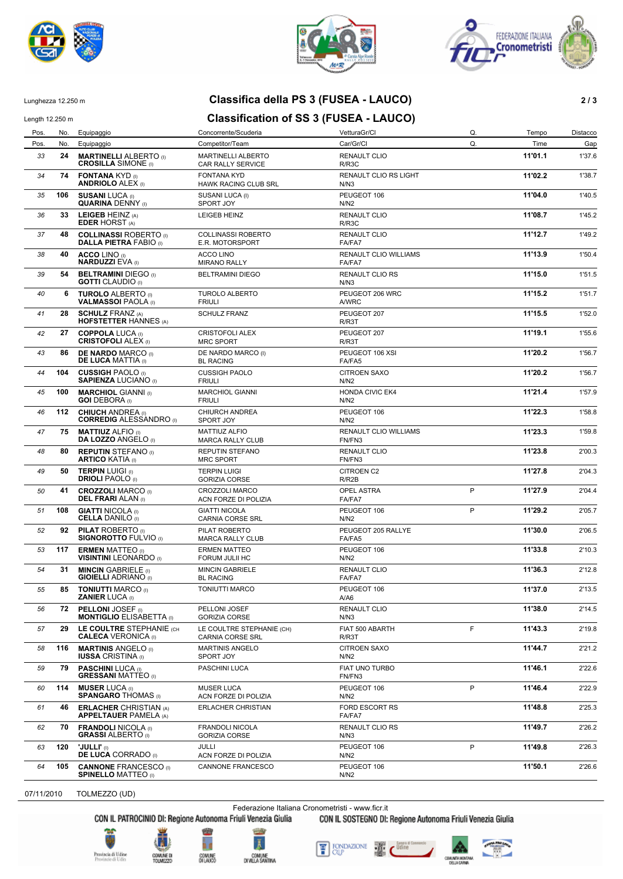





# Lunghezza 12.250 m **Classifica della PS 3 (FUSEA - LAUCO) 2 / 3**

## Length 12.250 m **Classification of SS 3 (FUSEA - LAUCO)**

| Pos. | No. | Equipaggio                                                     | Concorrente/Scuderia                            | VetturaGr/Cl                           | Q.          | Tempo   | Distacco |
|------|-----|----------------------------------------------------------------|-------------------------------------------------|----------------------------------------|-------------|---------|----------|
| Pos. | No. | Equipaggio                                                     | Competitor/Team                                 | Car/Gr/Cl                              | Q.          | Time    | Gap      |
| 33   | 24  | <b>MARTINELLI ALBERTO</b> (I)<br><b>CROSILLA SIMONE</b> (I)    | <b>MARTINELLI ALBERTO</b><br>CAR RALLY SERVICE  | RENAULT CLIO<br>R/R3C                  |             | 11'01.1 | 1'37.6   |
| 34   | 74  | <b>FONTANA KYD (I)</b><br><b>ANDRIOLO ALEX (I)</b>             | <b>FONTANA KYD</b><br>HAWK RACING CLUB SRL      | RENAULT CLIO RS LIGHT<br>N/N3          |             | 11'02.2 | 1'38.7   |
| 35   | 106 | <b>SUSANI LUCA (I)</b><br><b>QUARINA DENNY</b> (i)             | SUSANI LUCA (I)<br>SPORT JOY                    | PEUGEOT 106<br>N/N2                    |             | 11'04.0 | 1'40.5   |
| 36   | 33  | LEIGEB HEINZ (A)<br><b>EDER HORST (A)</b>                      | LEIGEB HEINZ                                    | <b>RENAULT CLIO</b><br>R/R3C           |             | 11'08.7 | 1'45.2   |
| 37   | 48  | <b>COLLINASSI ROBERTO</b> (I)<br><b>DALLA PIETRA FABIO (i)</b> | <b>COLLINASSI ROBERTO</b><br>E.R. MOTORSPORT    | <b>RENAULT CLIO</b><br>FA/FA7          |             | 11'12.7 | 1'49.2   |
| 38   | 40  | <b>ACCO LINO</b> (I)<br><b>NARDUZZI EVA (I)</b>                | <b>ACCO LINO</b><br><b>MIRANO RALLY</b>         | RENAULT CLIO WILLIAMS<br>FA/FA7        |             | 11'13.9 | 1'50.4   |
| 39   | 54  | <b>BELTRAMINI DIEGO (I)</b><br><b>GOTTI</b> CLAUDIO (I)        | <b>BELTRAMINI DIEGO</b>                         | <b>RENAULT CLIO RS</b><br>N/N3         |             | 11'15.0 | 1'51.5   |
| 40   | 6   | <b>TUROLO ALBERTO</b> (i)<br><b>VALMASSOI PAOLA (I)</b>        | <b>TUROLO ALBERTO</b><br><b>FRIULI</b>          | PEUGEOT 206 WRC<br>A/WRC               |             | 11'15.2 | 1'51.7   |
| 41   | 28  | <b>SCHULZ FRANZ (A)</b><br><b>HOFSTETTER HANNES (A)</b>        | <b>SCHULZ FRANZ</b>                             | PEUGEOT 207<br>R/R3T                   |             | 11'15.5 | 1'52.0   |
| 42   | 27  | <b>COPPOLA LUCA (I)</b><br><b>CRISTOFOLI ALEX (i)</b>          | <b>CRISTOFOLI ALEX</b><br><b>MRC SPORT</b>      | PEUGEOT 207<br>R/R3T                   |             | 11'19.1 | 1'55.6   |
| 43   | 86  | <b>DE NARDO MARCO (I)</b><br><b>DE LUCA MATTIA</b> (I)         | DE NARDO MARCO (I)<br><b>BL RACING</b>          | PEUGEOT 106 XSI<br>FA/FA5              |             | 11'20.2 | 1'56.7   |
| 44   | 104 | <b>CUSSIGH PAOLO</b> (i)<br><b>SAPIENZA LUCIANO (I)</b>        | <b>CUSSIGH PAOLO</b><br><b>FRIULI</b>           | <b>CITROEN SAXO</b><br>N/N2            |             | 11'20.2 | 1'56.7   |
| 45   | 100 | <b>MARCHIOL GIANNI</b> (I)<br><b>GOI DEBORA</b> (I)            | <b>MARCHIOL GIANNI</b><br><b>FRIULI</b>         | <b>HONDA CIVIC EK4</b><br>N/N2         |             | 11'21.4 | 1'57.9   |
| 46   | 112 | <b>CHIUCH ANDREA</b> (I)<br><b>CORREDIG ALESSANDRO</b> (i)     | <b>CHIURCH ANDREA</b><br>SPORT JOY              | PEUGEOT 106<br>N/N2                    |             | 11'22.3 | 1'58.8   |
| 47   | 75  | <b>MATTIUZ ALFIO</b> (I)<br><b>DA LOZZO ANGELO (I)</b>         | <b>MATTIUZ ALFIO</b><br><b>MARCA RALLY CLUB</b> | <b>RENAULT CLIO WILLIAMS</b><br>FN/FN3 |             | 11'23.3 | 1'59.8   |
| 48   | 80  | <b>REPUTIN STEFANO</b> (I)<br><b>ARTICO KATIA (I)</b>          | REPUTIN STEFANO<br><b>MRC SPORT</b>             | <b>RENAULT CLIO</b><br>FN/FN3          |             | 11'23.8 | 2'00.3   |
| 49   | 50  | <b>TERPIN LUIGI (I)</b><br><b>DRIOLI PAOLO</b> (I)             | <b>TERPIN LUIGI</b><br><b>GORIZIA CORSE</b>     | <b>CITROEN C2</b><br>R/R2B             |             | 11'27.8 | 2'04.3   |
| 50   | 41  | <b>CROZZOLI MARCO (I)</b><br><b>DEL FRARI ALAN (I)</b>         | <b>CROZZOLI MARCO</b><br>ACN FORZE DI POLIZIA   | OPEL ASTRA<br>FA/FA7                   | P           | 11'27.9 | 2'04.4   |
| 51   | 108 | <b>GIATTI NICOLA</b> (I)<br><b>CELLA DANILO</b> (I)            | <b>GIATTI NICOLA</b><br><b>CARNIA CORSE SRL</b> | PEUGEOT 106<br>N/N2                    | P           | 11'29.2 | 2'05.7   |
| 52   | 92  | <b>PILAT ROBERTO</b> (I)<br><b>SIGNOROTTO FULVIO (I)</b>       | PILAT ROBERTO<br><b>MARCA RALLY CLUB</b>        | PEUGEOT 205 RALLYE<br>FA/FA5           |             | 11'30.0 | 2'06.5   |
| 53   | 117 | <b>ERMEN MATTEO</b> (i)<br><b>VISINTINI LEONARDO</b> (I)       | <b>ERMEN MATTEO</b><br>FORUM JULII HC           | PEUGEOT 106<br>N/N2                    |             | 11'33.8 | 2'10.3   |
| 54   | 31  | <b>MINCIN GABRIELE</b> (I)<br><b>GIOIELLI ADRIANO</b> (I)      | <b>MINCIN GABRIELE</b><br><b>BL RACING</b>      | <b>RENAULT CLIO</b><br>FA/FA7          |             | 11'36.3 | 2'12.8   |
| 55   | 85  | <b>TONIUTTI MARCO (I)</b><br><b>ZANIER LUCA (I)</b>            | <b>TONIUTTI MARCO</b>                           | PEUGEOT 106<br>A/A6                    |             | 11'37.0 | 2'13.5   |
| 56   | 72  | <b>PELLONI JOSEF</b> (i)<br><b>MONTIGLIO ELISABETTA</b> (I)    | PELLONI JOSEF<br><b>GORIZIA CORSE</b>           | <b>RENAULT CLIO</b><br>N/N3            |             | 11'38.0 | 2'14.5   |
| 57   | 29  | LE COULTRE STEPHANIE (CH<br><b>CALECA VERONICA (I)</b>         | LE COULTRE STEPHANIE (CH)<br>CARNIA CORSE SRL   | FIAT 500 ABARTH<br>R/R3T               | F           | 11'43.3 | 2'19.8   |
| 58   | 116 | <b>MARTINIS ANGELO</b> (i)<br><b>IUSSA CRISTINA</b> (I)        | <b>MARTINIS ANGELO</b><br>SPORT JOY             | CITROEN SAXO<br>N/N2                   |             | 11'44.7 | 2'21.2   |
| 59   | 79  | <b>PASCHINI LUCA (I)</b><br><b>GRESSANI MATTEO</b> (I)         | PASCHINI LUCA                                   | FIAT UNO TURBO<br>FN/FN3               |             | 11'46.1 | 2'22.6   |
| 60   | 114 | <b>MUSER LUCA (I)</b><br><b>SPANGARO THOMAS</b> (I)            | <b>MUSER LUCA</b><br>ACN FORZE DI POLIZIA       | PEUGEOT 106<br>N/N2                    | $\mathsf P$ | 11'46.4 | 2'22.9   |
| 61   | 46  | <b>ERLACHER CHRISTIAN (A)</b><br><b>APPELTAUER PAMELA (A)</b>  | ERLACHER CHRISTIAN                              | <b>FORD ESCORT RS</b><br>FA/FA7        |             | 11'48.8 | 2'25.3   |
| 62   | 70  | <b>FRANDOLI NICOLA (I)</b><br><b>GRASSI ALBERTO</b> (I)        | FRANDOLI NICOLA<br><b>GORIZIA CORSE</b>         | RENAULT CLIO RS<br>N/N3                |             | 11'49.7 | 2'26.2   |
| 63   | 120 | "JULLI" (I)<br><b>DE LUCA CORRADO</b> (I)                      | JULLI<br>ACN FORZE DI POLIZIA                   | PEUGEOT 106<br>N/N2                    | P           | 11'49.8 | 2'26.3   |
| 64   | 105 | <b>CANNONE FRANCESCO</b> (I)<br><b>SPINELLO MATTEO (I)</b>     | CANNONE FRANCESCO                               | PEUGEOT 106<br>N/N2                    |             | 11'50.1 | 2'26.6   |
|      |     |                                                                |                                                 |                                        |             |         |          |

07/11/2010 TOLMEZZO (UD)

Federazione Italiana Cronometristi - www.ficr.it<br>CON IL PATROCINIO DI: Regione Autonoma Friuli Venezia Giulia CON IL SOSTEGNO DI:

CON IL SOSTEGNO DI: Regione Autonoma Friuli Venezia Giulia





**COMUNE D**<br>TOM BASTER